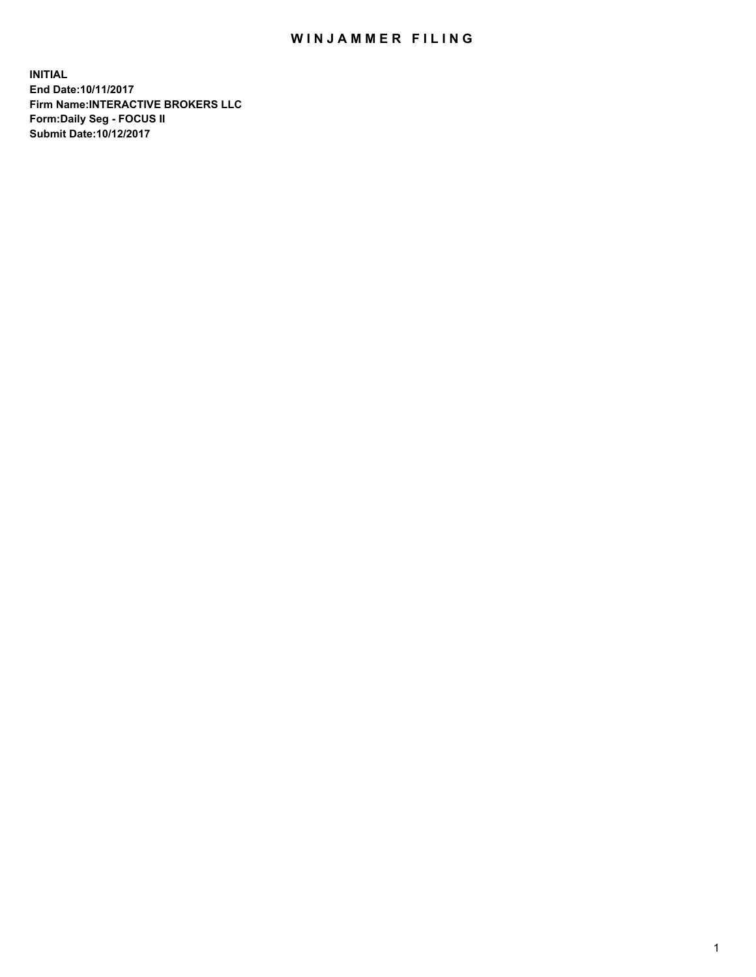## WIN JAMMER FILING

**INITIAL End Date:10/11/2017 Firm Name:INTERACTIVE BROKERS LLC Form:Daily Seg - FOCUS II Submit Date:10/12/2017**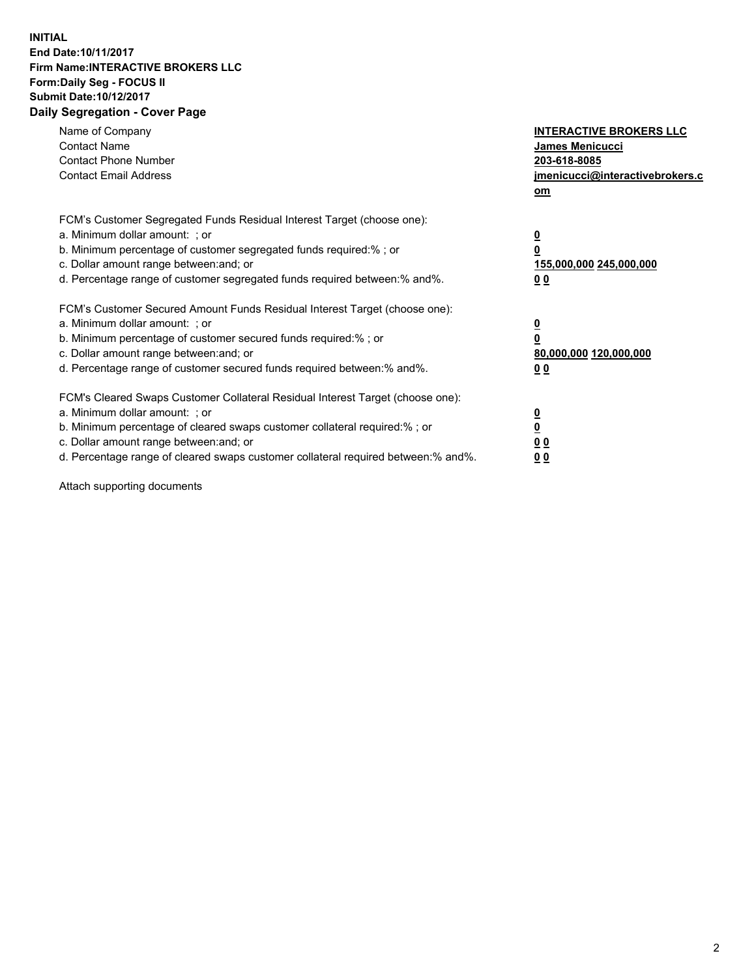## **INITIAL End Date:10/11/2017 Firm Name:INTERACTIVE BROKERS LLC Form:Daily Seg - FOCUS II Submit Date:10/12/2017 Daily Segregation - Cover Page**

| Name of Company<br><b>Contact Name</b><br><b>Contact Phone Number</b><br><b>Contact Email Address</b>                                                                                                                                                                                                                          | <b>INTERACTIVE BROKERS LLC</b><br><b>James Menicucci</b><br>203-618-8085<br>jmenicucci@interactivebrokers.c<br>om |
|--------------------------------------------------------------------------------------------------------------------------------------------------------------------------------------------------------------------------------------------------------------------------------------------------------------------------------|-------------------------------------------------------------------------------------------------------------------|
| FCM's Customer Segregated Funds Residual Interest Target (choose one):<br>a. Minimum dollar amount: ; or<br>b. Minimum percentage of customer segregated funds required:%; or<br>c. Dollar amount range between: and; or<br>d. Percentage range of customer segregated funds required between:% and%.                          | $\overline{\mathbf{0}}$<br>0<br>155,000,000 245,000,000<br>0 <sub>0</sub>                                         |
| FCM's Customer Secured Amount Funds Residual Interest Target (choose one):<br>a. Minimum dollar amount: ; or<br>b. Minimum percentage of customer secured funds required:%; or<br>c. Dollar amount range between: and; or<br>d. Percentage range of customer secured funds required between: % and %.                          | $\overline{\mathbf{0}}$<br>0<br>80,000,000 120,000,000<br>0 <sub>0</sub>                                          |
| FCM's Cleared Swaps Customer Collateral Residual Interest Target (choose one):<br>a. Minimum dollar amount: ; or<br>b. Minimum percentage of cleared swaps customer collateral required:% ; or<br>c. Dollar amount range between: and; or<br>d. Percentage range of cleared swaps customer collateral required between:% and%. | $\overline{\mathbf{0}}$<br>$\overline{\mathbf{0}}$<br>0 <sub>0</sub><br><u>00</u>                                 |

Attach supporting documents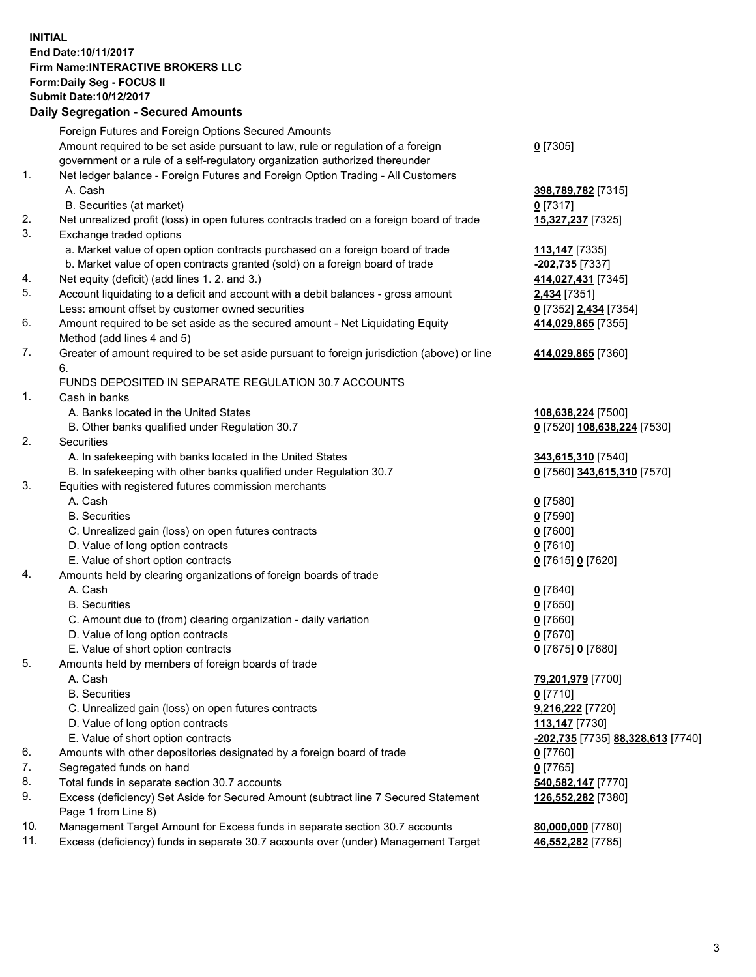## **INITIAL End Date:10/11/2017 Firm Name:INTERACTIVE BROKERS LLC Form:Daily Seg - FOCUS II Submit Date:10/12/2017 Daily Segregation - Secured Amounts**

|                | Daily Jegregation - Jeculed Aniounts                                                        |                                                       |
|----------------|---------------------------------------------------------------------------------------------|-------------------------------------------------------|
|                | Foreign Futures and Foreign Options Secured Amounts                                         |                                                       |
|                | Amount required to be set aside pursuant to law, rule or regulation of a foreign            | $0$ [7305]                                            |
|                | government or a rule of a self-regulatory organization authorized thereunder                |                                                       |
| 1.             | Net ledger balance - Foreign Futures and Foreign Option Trading - All Customers             |                                                       |
|                | A. Cash                                                                                     | 398,789,782 [7315]                                    |
|                | B. Securities (at market)                                                                   | $0$ [7317]                                            |
| 2.             | Net unrealized profit (loss) in open futures contracts traded on a foreign board of trade   | 15,327,237 [7325]                                     |
| 3.             | Exchange traded options                                                                     |                                                       |
|                | a. Market value of open option contracts purchased on a foreign board of trade              | <u>113,147</u> [7335]                                 |
|                | b. Market value of open contracts granted (sold) on a foreign board of trade                | -202,735 [7337]                                       |
| 4.             | Net equity (deficit) (add lines 1.2. and 3.)                                                | 414,027,431 [7345]                                    |
| 5.             | Account liquidating to a deficit and account with a debit balances - gross amount           | 2,434 [7351]                                          |
|                | Less: amount offset by customer owned securities                                            | 0 [7352] 2,434 [7354]                                 |
| 6.             | Amount required to be set aside as the secured amount - Net Liquidating Equity              | 414,029,865 [7355]                                    |
|                | Method (add lines 4 and 5)                                                                  |                                                       |
| 7.             | Greater of amount required to be set aside pursuant to foreign jurisdiction (above) or line | 414,029,865 [7360]                                    |
|                | 6.                                                                                          |                                                       |
|                | FUNDS DEPOSITED IN SEPARATE REGULATION 30.7 ACCOUNTS                                        |                                                       |
| 1 <sub>1</sub> | Cash in banks                                                                               |                                                       |
|                | A. Banks located in the United States                                                       | 108,638,224 [7500]                                    |
|                | B. Other banks qualified under Regulation 30.7                                              | 0 [7520] 108,638,224 [7530]                           |
| 2.             | Securities                                                                                  |                                                       |
|                | A. In safekeeping with banks located in the United States                                   | 343,615,310 [7540]                                    |
|                | B. In safekeeping with other banks qualified under Regulation 30.7                          | 0 [7560] 343,615,310 [7570]                           |
| 3.             | Equities with registered futures commission merchants                                       |                                                       |
|                | A. Cash                                                                                     | $0$ [7580]                                            |
|                | <b>B.</b> Securities                                                                        | $0$ [7590]                                            |
|                | C. Unrealized gain (loss) on open futures contracts                                         | $0$ [7600]                                            |
|                | D. Value of long option contracts                                                           | $0$ [7610]                                            |
|                | E. Value of short option contracts                                                          | 0 [7615] 0 [7620]                                     |
| 4.             | Amounts held by clearing organizations of foreign boards of trade                           |                                                       |
|                | A. Cash                                                                                     | $0$ [7640]                                            |
|                | <b>B.</b> Securities                                                                        | $0$ [7650]                                            |
|                | C. Amount due to (from) clearing organization - daily variation                             | $0$ [7660]                                            |
|                | D. Value of long option contracts                                                           | $0$ [7670]                                            |
|                | E. Value of short option contracts                                                          | 0 [7675] 0 [7680]                                     |
| 5.             | Amounts held by members of foreign boards of trade                                          |                                                       |
|                | A. Cash                                                                                     | 79,201,979 [7700]                                     |
|                | <b>B.</b> Securities                                                                        | $0$ [7710]                                            |
|                | C. Unrealized gain (loss) on open futures contracts                                         | 9,216,222 [7720]                                      |
|                | D. Value of long option contracts                                                           | 113,147 [7730]                                        |
|                | E. Value of short option contracts                                                          | <mark>-202,735</mark> [7735] <b>88,328,613</b> [7740] |
| 6.             | Amounts with other depositories designated by a foreign board of trade                      | $0$ [7760]                                            |
| 7.             | Segregated funds on hand                                                                    | $0$ [7765]                                            |
| 8.             | Total funds in separate section 30.7 accounts                                               | 540,582,147 [7770]                                    |
| 9.             | Excess (deficiency) Set Aside for Secured Amount (subtract line 7 Secured Statement         | 126,552,282 [7380]                                    |
|                | Page 1 from Line 8)                                                                         |                                                       |
| 10.            | Management Target Amount for Excess funds in separate section 30.7 accounts                 | 80,000,000 [7780]                                     |
| 11.            | Excess (deficiency) funds in separate 30.7 accounts over (under) Management Target          | 46,552,282 [7785]                                     |
|                |                                                                                             |                                                       |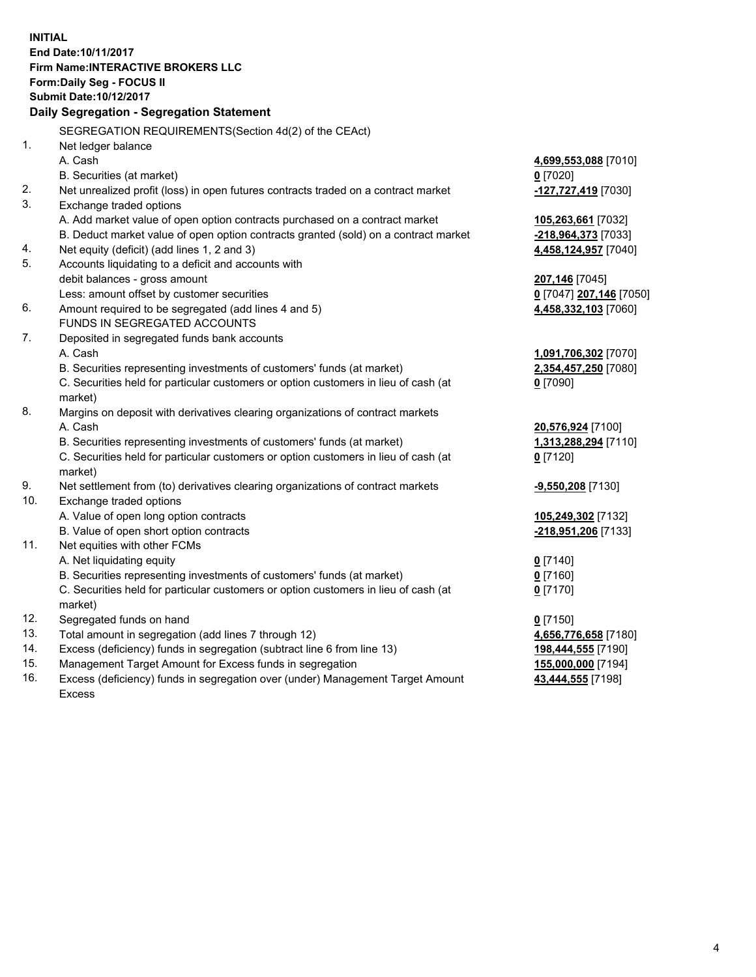**INITIAL End Date:10/11/2017 Firm Name:INTERACTIVE BROKERS LLC Form:Daily Seg - FOCUS II Submit Date:10/12/2017 Daily Segregation - Segregation Statement** SEGREGATION REQUIREMENTS(Section 4d(2) of the CEAct) 1. Net ledger balance A. Cash **4,699,553,088** [7010] B. Securities (at market) **0** [7020] 2. Net unrealized profit (loss) in open futures contracts traded on a contract market **-127,727,419** [7030] 3. Exchange traded options A. Add market value of open option contracts purchased on a contract market **105,263,661** [7032] B. Deduct market value of open option contracts granted (sold) on a contract market **-218,964,373** [7033] 4. Net equity (deficit) (add lines 1, 2 and 3) **4,458,124,957** [7040] 5. Accounts liquidating to a deficit and accounts with debit balances - gross amount **207,146** [7045] Less: amount offset by customer securities **0** [7047] **207,146** [7050] 6. Amount required to be segregated (add lines 4 and 5) **4,458,332,103** [7060] FUNDS IN SEGREGATED ACCOUNTS 7. Deposited in segregated funds bank accounts A. Cash **1,091,706,302** [7070] B. Securities representing investments of customers' funds (at market) **2,354,457,250** [7080] C. Securities held for particular customers or option customers in lieu of cash (at market) **0** [7090] 8. Margins on deposit with derivatives clearing organizations of contract markets A. Cash **20,576,924** [7100] B. Securities representing investments of customers' funds (at market) **1,313,288,294** [7110] C. Securities held for particular customers or option customers in lieu of cash (at market) **0** [7120] 9. Net settlement from (to) derivatives clearing organizations of contract markets **-9,550,208** [7130] 10. Exchange traded options A. Value of open long option contracts **105,249,302** [7132] B. Value of open short option contracts **-218,951,206** [7133] 11. Net equities with other FCMs A. Net liquidating equity **0** [7140] B. Securities representing investments of customers' funds (at market) **0** [7160] C. Securities held for particular customers or option customers in lieu of cash (at market) **0** [7170] 12. Segregated funds on hand **0** [7150] 13. Total amount in segregation (add lines 7 through 12) **4,656,776,658** [7180] 14. Excess (deficiency) funds in segregation (subtract line 6 from line 13) **198,444,555** [7190] 15. Management Target Amount for Excess funds in segregation **155,000,000** [7194] **43,444,555** [7198]

16. Excess (deficiency) funds in segregation over (under) Management Target Amount Excess